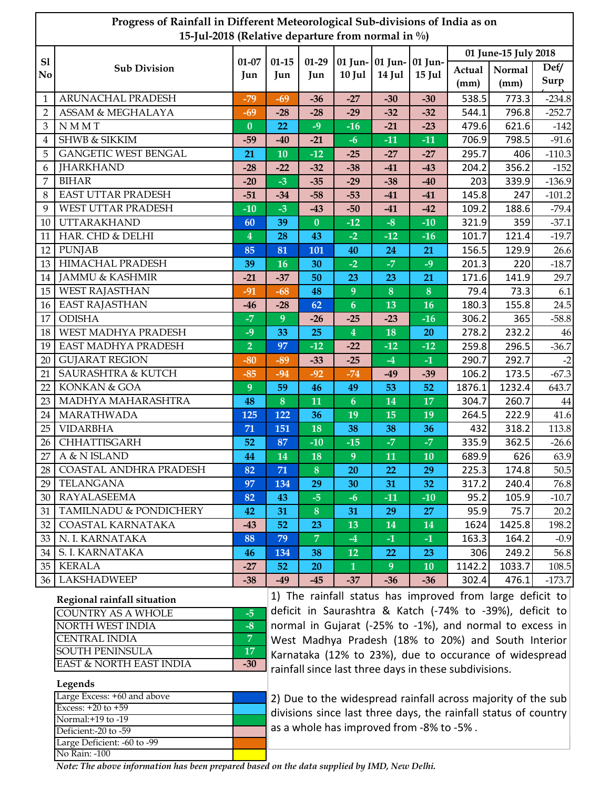| Progress of Rainfall in Different Meteorological Sub-divisions of India as on<br>15-Jul-2018 (Relative departure from normal in %) |                               |                         |           |                  |                         |                 |           |                      |                |              |
|------------------------------------------------------------------------------------------------------------------------------------|-------------------------------|-------------------------|-----------|------------------|-------------------------|-----------------|-----------|----------------------|----------------|--------------|
| S1                                                                                                                                 |                               |                         | $01 - 15$ | $01-29$          |                         | 01 Jun- 01 Jun- | 01 Jun-   | 01 June-15 July 2018 |                |              |
| No.                                                                                                                                | <b>Sub Division</b>           | $01 - 07$<br>Jun        | Jun       | Jun              | $10$ Jul                | 14 Jul          | $15$ Jul  | Actual<br>(mm)       | Normal<br>(mm) | Def/<br>Surp |
| $\mathbf{1}$                                                                                                                       | ARUNACHAL PRADESH             | $-79$                   | $-69$     | $-36$            | $-27$                   | $-30$           | $-30$     | 538.5                | 773.3          | $-234.8$     |
| $\overline{2}$                                                                                                                     | ASSAM & MEGHALAYA             | $-69$                   | $-28$     | $-28$            | $-29$                   | $-32$           | $-32$     | 544.1                | 796.8          | $-252.7$     |
| 3                                                                                                                                  | <b>NMMT</b>                   | $\bf{0}$                | 22        | $-9$             | $-16$                   | $-21$           | $-23$     | 479.6                | 621.6          | $-142$       |
| 4                                                                                                                                  | <b>SHWB &amp; SIKKIM</b>      | $-59$                   | $-40$     | $-21$            | $-6$                    | $-11$           | $-11$     | 706.9                | 798.5          | $-91.6$      |
| 5                                                                                                                                  | <b>GANGETIC WEST BENGAL</b>   | 21                      | 10        | $-12$            | $-25$                   | $-27$           | $-27$     | 295.7                | 406            | $-110.3$     |
| 6                                                                                                                                  | <b>JHARKHAND</b>              | $-28$                   | $-22$     | $-32$            | $-38$                   | $-41$           | $-43$     | 204.2                | 356.2          | $-152$       |
| 7                                                                                                                                  | <b>BIHAR</b>                  | $-20$                   | $-3$      | $-35$            | $-29$                   | $-38$           | $-40$     | 203                  | 339.9          | $-136.9$     |
| 8                                                                                                                                  | <b>EAST UTTAR PRADESH</b>     | $-51$                   | $-34$     | $-58$            | $-53$                   | $-41$           | $-41$     | 145.8                | 247            | $-101.2$     |
| 9                                                                                                                                  | WEST UTTAR PRADESH            | $-10$                   | $-3$      | $-43$            | $-50$                   | $-41$           | $-42$     | 109.2                | 188.6          | $-79.4$      |
| 10                                                                                                                                 | <b>UTTARAKHAND</b>            | 60                      | 39        | $\bf{0}$         | $-12$                   | $-8$            | $-10$     | 321.9                | 359            | $-37.1$      |
| 11                                                                                                                                 | HAR. CHD & DELHI              | $\overline{\mathbf{4}}$ | 28        | 43               | $-2$                    | $-12$           | $-16$     | 101.7                | 121.4          | $-19.7$      |
| 12                                                                                                                                 | <b>PUNJAB</b>                 | 85                      | 81        | 101              | 40                      | 24              | 21        | 156.5                | 129.9          | 26.6         |
| 13                                                                                                                                 | <b>HIMACHAL PRADESH</b>       | 39                      | 16        | 30               | $-2$                    | $-7$            | $-9$      | 201.3                | 220            | $-18.7$      |
| 14                                                                                                                                 | <b>JAMMU &amp; KASHMIR</b>    | $-21$                   | $-37$     | 50               | 23                      | 23              | 21        | 171.6                | 141.9          | 29.7         |
| 15                                                                                                                                 | <b>WEST RAJASTHAN</b>         | $-91$                   | $-68$     | 48               | $\overline{9}$          | 8               | 8         | 79.4                 | 73.3           | 6.1          |
| 16                                                                                                                                 | <b>EAST RAJASTHAN</b>         | $-46$                   | $-28$     | 62               | $\boldsymbol{6}$        | 13              | 16        | 180.3                | 155.8          | 24.5         |
| 17                                                                                                                                 | <b>ODISHA</b>                 | $-7$                    | 9         | $-26$            | $-25$                   | $-23$           | $-16$     | 306.2                | 365            | $-58.8$      |
| 18                                                                                                                                 | WEST MADHYA PRADESH           | $-9$                    | 33        | 25               | $\overline{\mathbf{4}}$ | 18              | 20        | 278.2                | 232.2          | 46           |
| 19                                                                                                                                 | <b>EAST MADHYA PRADESH</b>    | $\overline{2}$          | 97        | $-12$            | $-22$                   | $-12$           | $-12$     | 259.8                | 296.5          | $-36.7$      |
| 20                                                                                                                                 | <b>GUJARAT REGION</b>         | $-80$                   | $-89$     | $-33$            | $-25$                   | $-4$            | $-1$      | 290.7                | 292.7          | $-2$         |
| 21                                                                                                                                 | <b>SAURASHTRA &amp; KUTCH</b> | $-85$                   | $-94$     | $-92$            | $-74$                   | $-49$           | $-39$     | 106.2                | 173.5          | $-67.3$      |
| 22                                                                                                                                 | KONKAN & GOA                  | 9                       | 59        | 46               | 49                      | 53              | 52        | 1876.1               | 1232.4         | 643.7        |
| 23                                                                                                                                 | MADHYA MAHARASHTRA            | 48                      | 8         | 11               | $\boldsymbol{6}$        | 14              | 17        | 304.7                | 260.7          | 44           |
| 24                                                                                                                                 | MARATHWADA                    | 125                     | 122       | 36               | 19                      | 15              | 19        | 264.5                | 222.9          | 41.6         |
| 25                                                                                                                                 | <b>VIDARBHA</b>               | 71                      | 151       | 18               | 38                      | 38              | 36        | 432                  | 318.2          | 113.8        |
| 26                                                                                                                                 | CHHATTISGARH                  | 52                      | 87        | $-10$            | $-15$                   | $-7$            | $-7$      | 335.9                | 362.5          | $-26.6$      |
| 27                                                                                                                                 | A & N ISLAND                  | 44                      | 14        | 18               | 9                       | 11              | 10        | 689.9                | 626            | 63.9         |
| 28                                                                                                                                 | COASTAL ANDHRA PRADESH        | 82                      | 71        | 8                | 20                      | 22              | 29        | 225.3                | 174.8          | 50.5         |
| 29                                                                                                                                 | <b>TELANGANA</b>              | 97                      | 134       | 29               | 30                      | 31              | 32        | 317.2                | 240.4          | 76.8         |
| 30                                                                                                                                 | <b>RAYALASEEMA</b>            | 82                      | 43        | $-5$             | $-6$                    | $-11$           | $-10$     | 95.2                 | 105.9          | $-10.7$      |
| 31                                                                                                                                 | TAMILNADU & PONDICHERY        | 42                      | 31        | $\boldsymbol{8}$ | 31                      | 29              | 27        | 95.9                 | 75.7           | 20.2         |
| 32                                                                                                                                 | COASTAL KARNATAKA             | $-43$                   | 52        | 23               | 13                      | 14              | <b>14</b> | 1624                 | 1425.8         | 198.2        |
| 33                                                                                                                                 | N. I. KARNATAKA               | 88                      | 79        | $\overline{7}$   | $-4$                    | $-1$            | $-1$      | 163.3                | 164.2          | $-0.9$       |
| 34                                                                                                                                 | <b>S. I. KARNATAKA</b>        | 46                      | 134       | 38               | 12                      | 22              | 23        | 306                  | 249.2          | 56.8         |
| 35                                                                                                                                 | <b>KERALA</b>                 | $-27$                   | 52        | <b>20</b>        | $\mathbf{1}$            | 9 <sup>°</sup>  | 10        | 1142.2               | 1033.7         | 108.5        |
|                                                                                                                                    | 36   LAKSHADWEEP              | $-38$                   | -49       | $-45$            | $-37$                   | $-36$           | $-36$     | 302.4                | 476.1          | $-173.7$     |

| Regional rainfall situation |     |  |  |  |
|-----------------------------|-----|--|--|--|
| <b>COUNTRY AS A WHOLE</b>   | -5  |  |  |  |
| NORTH WEST INDIA            | -8  |  |  |  |
| <b>CENTRAL INDIA</b>        | 5   |  |  |  |
| <b>SOUTH PENINSULA</b>      | 17  |  |  |  |
| EAST & NORTH EAST INDIA     | -30 |  |  |  |

1) The rainfall status has improved from large deficit to deficit in Saurashtra & Katch (‐74% to ‐39%), deficit to normal in Gujarat (‐25% to ‐1%), and normal to excess in West Madhya Pradesh (18% to 20%) and South Interior Karnataka (12% to 23%), due to occurance of widespread rainfall since last three days in these subdivisions.

## **Legends**

| Large Excess: +60 and above |  |
|-----------------------------|--|
| Excess: $+20$ to $+59$      |  |
| Normal:+19 to -19           |  |
| Deficient:-20 to -59        |  |
| Large Deficient: -60 to -99 |  |
| No Rain: -100               |  |

2) Due to the widespread rainfall across majority of the sub divisions since last three days, the rainfall status of country as a whole has improved from ‐8% to ‐5% .

*Note: The above information has been prepared based on the data supplied by IMD, New Delhi.*